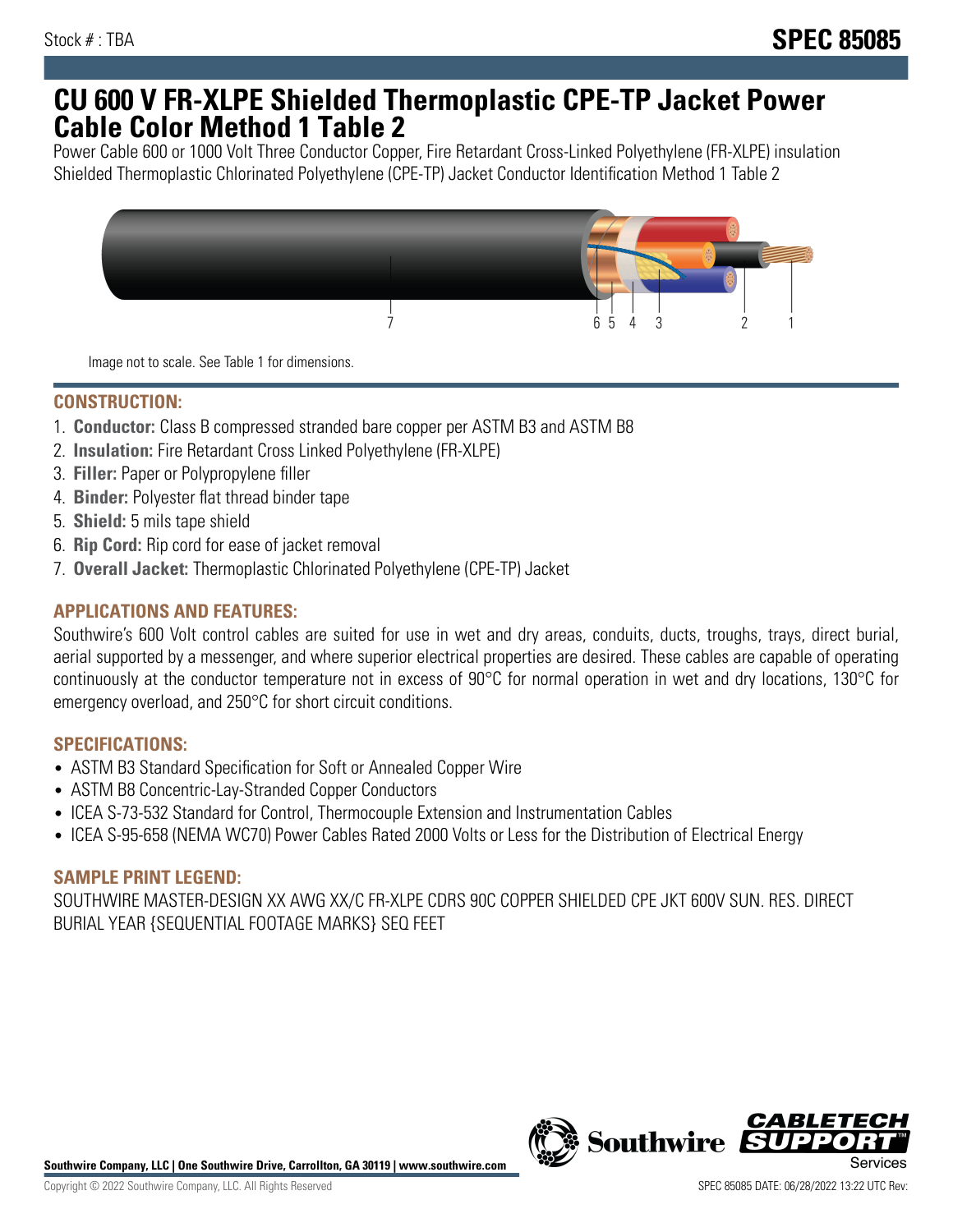## **CU 600 V FR-XLPE Shielded Thermoplastic CPE-TP Jacket Power Cable Color Method 1 Table 2**

Power Cable 600 or 1000 Volt Three Conductor Copper, Fire Retardant Cross-Linked Polyethylene (FR-XLPE) insulation Shielded Thermoplastic Chlorinated Polyethylene (CPE-TP) Jacket Conductor Identification Method 1 Table 2



Image not to scale. See Table 1 for dimensions.

## **CONSTRUCTION:**

- 1. **Conductor:** Class B compressed stranded bare copper per ASTM B3 and ASTM B8
- 2. **Insulation:** Fire Retardant Cross Linked Polyethylene (FR-XLPE)
- 3. **Filler:** Paper or Polypropylene filler
- 4. **Binder:** Polyester flat thread binder tape
- 5. **Shield:** 5 mils tape shield
- 6. **Rip Cord:** Rip cord for ease of jacket removal
- 7. **Overall Jacket:** Thermoplastic Chlorinated Polyethylene (CPE-TP) Jacket

## **APPLICATIONS AND FEATURES:**

Southwire's 600 Volt control cables are suited for use in wet and dry areas, conduits, ducts, troughs, trays, direct burial, aerial supported by a messenger, and where superior electrical properties are desired. These cables are capable of operating continuously at the conductor temperature not in excess of 90°C for normal operation in wet and dry locations, 130°C for emergency overload, and 250°C for short circuit conditions.

#### **SPECIFICATIONS:**

- ASTM B3 Standard Specification for Soft or Annealed Copper Wire
- ASTM B8 Concentric-Lay-Stranded Copper Conductors
- ICEA S-73-532 Standard for Control, Thermocouple Extension and Instrumentation Cables
- ICEA S-95-658 (NEMA WC70) Power Cables Rated 2000 Volts or Less for the Distribution of Electrical Energy

#### **SAMPLE PRINT LEGEND:**

SOUTHWIRE MASTER-DESIGN XX AWG XX/C FR-XLPE CDRS 90C COPPER SHIELDED CPE JKT 600V SUN. RES. DIRECT BURIAL YEAR {SEQUENTIAL FOOTAGE MARKS} SEQ FEET